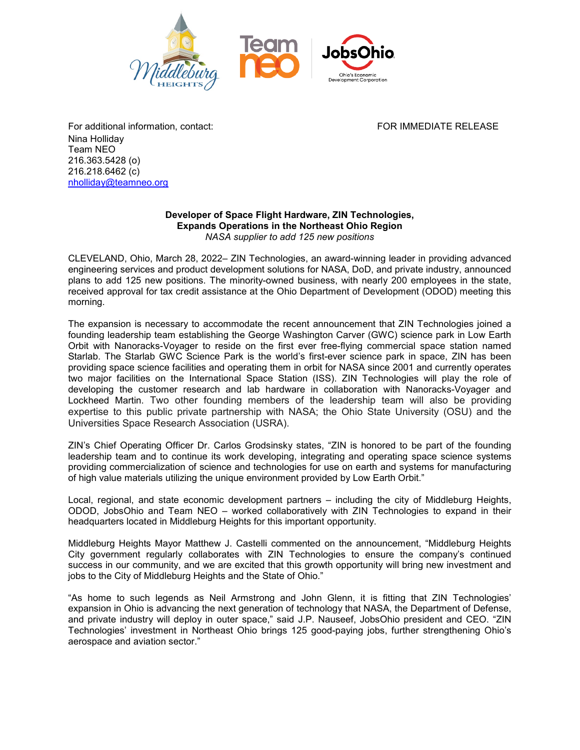

Nina Holliday Team NEO 216.363.5428 (o) 216.218.6462 (c) [nholliday@teamneo.org](mailto:nholliday@teamneo.org)

## **Developer of Space Flight Hardware, ZIN Technologies, Expands Operations in the Northeast Ohio Region** *NASA supplier to add 125 new positions*

CLEVELAND, Ohio, March 28, 2022– ZIN Technologies, an award-winning leader in providing advanced engineering services and product development solutions for NASA, DoD, and private industry, announced plans to add 125 new positions. The minority-owned business, with nearly 200 employees in the state, received approval for tax credit assistance at the Ohio Department of Development (ODOD) meeting this morning.

The expansion is necessary to accommodate the recent announcement that ZIN Technologies joined a founding leadership team establishing the George Washington Carver (GWC) science park in Low Earth Orbit with Nanoracks-Voyager to reside on the first ever free-flying commercial space station named Starlab. The Starlab GWC Science Park is the world's first-ever science park in space, ZIN has been providing space science facilities and operating them in orbit for NASA since 2001 and currently operates two major facilities on the International Space Station (ISS). ZIN Technologies will play the role of developing the customer research and lab hardware in collaboration with Nanoracks-Voyager and Lockheed Martin. Two other founding members of the leadership team will also be providing expertise to this public private partnership with NASA; the Ohio State University (OSU) and the Universities Space Research Association (USRA).

ZIN's Chief Operating Officer Dr. Carlos Grodsinsky states, "ZIN is honored to be part of the founding leadership team and to continue its work developing, integrating and operating space science systems providing commercialization of science and technologies for use on earth and systems for manufacturing of high value materials utilizing the unique environment provided by Low Earth Orbit."

Local, regional, and state economic development partners – including the city of Middleburg Heights, ODOD, JobsOhio and Team NEO – worked collaboratively with ZIN Technologies to expand in their headquarters located in Middleburg Heights for this important opportunity.

Middleburg Heights Mayor Matthew J. Castelli commented on the announcement, "Middleburg Heights City government regularly collaborates with ZIN Technologies to ensure the company's continued success in our community, and we are excited that this growth opportunity will bring new investment and jobs to the City of Middleburg Heights and the State of Ohio."

"As home to such legends as Neil Armstrong and John Glenn, it is fitting that ZIN Technologies' expansion in Ohio is advancing the next generation of technology that NASA, the Department of Defense, and private industry will deploy in outer space," said J.P. Nauseef, JobsOhio president and CEO. "ZIN Technologies' investment in Northeast Ohio brings 125 good-paying jobs, further strengthening Ohio's aerospace and aviation sector."

For additional information, contact: The Content of the Content of Tore IMMEDIATE RELEASE